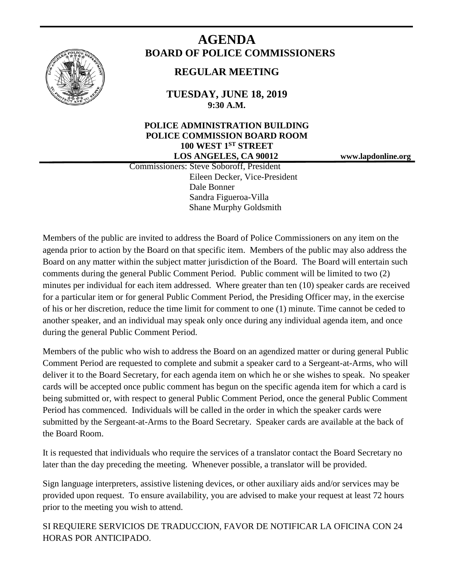

# **AGENDA BOARD OF POLICE COMMISSIONERS**

# **REGULAR MEETING**

**TUESDAY, JUNE 18, 2019 9:30 A.M.**

# **POLICE ADMINISTRATION BUILDING POLICE COMMISSION BOARD ROOM 100 WEST 1ST STREET LOS ANGELES, CA 90012 www.lapdonline.org**

 Commissioners: Steve Soboroff, President Eileen Decker, Vice-President Dale Bonner Sandra Figueroa-Villa Shane Murphy Goldsmith

Members of the public are invited to address the Board of Police Commissioners on any item on the agenda prior to action by the Board on that specific item. Members of the public may also address the Board on any matter within the subject matter jurisdiction of the Board. The Board will entertain such comments during the general Public Comment Period. Public comment will be limited to two (2) minutes per individual for each item addressed. Where greater than ten (10) speaker cards are received for a particular item or for general Public Comment Period, the Presiding Officer may, in the exercise of his or her discretion, reduce the time limit for comment to one (1) minute. Time cannot be ceded to another speaker, and an individual may speak only once during any individual agenda item, and once during the general Public Comment Period.

Members of the public who wish to address the Board on an agendized matter or during general Public Comment Period are requested to complete and submit a speaker card to a Sergeant-at-Arms, who will deliver it to the Board Secretary, for each agenda item on which he or she wishes to speak. No speaker cards will be accepted once public comment has begun on the specific agenda item for which a card is being submitted or, with respect to general Public Comment Period, once the general Public Comment Period has commenced. Individuals will be called in the order in which the speaker cards were submitted by the Sergeant-at-Arms to the Board Secretary. Speaker cards are available at the back of the Board Room.

It is requested that individuals who require the services of a translator contact the Board Secretary no later than the day preceding the meeting. Whenever possible, a translator will be provided.

Sign language interpreters, assistive listening devices, or other auxiliary aids and/or services may be provided upon request. To ensure availability, you are advised to make your request at least 72 hours prior to the meeting you wish to attend.

SI REQUIERE SERVICIOS DE TRADUCCION, FAVOR DE NOTIFICAR LA OFICINA CON 24 HORAS POR ANTICIPADO.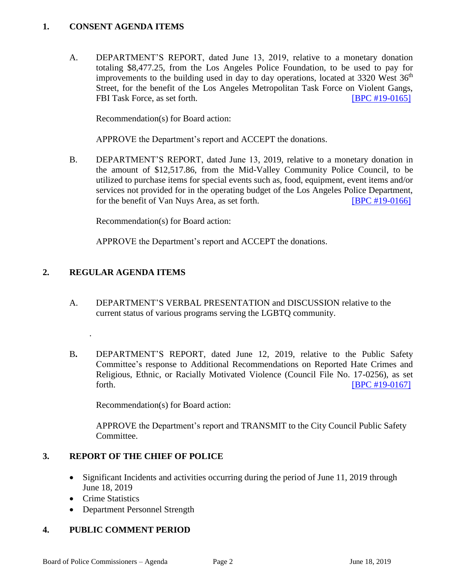#### **1. CONSENT AGENDA ITEMS**

A. DEPARTMENT'S REPORT, dated June 13, 2019, relative to a monetary donation totaling \$8,477.25, from the Los Angeles Police Foundation, to be used to pay for improvements to the building used in day to day operations, located at  $3320$  West  $36<sup>th</sup>$ Street, for the benefit of the Los Angeles Metropolitan Task Force on Violent Gangs, FBI Task Force, as set forth. [\[BPC #19-0165\]](http://www.lapdpolicecom.lacity.org/061819/BPC_19-0165.pdf)

Recommendation(s) for Board action:

APPROVE the Department's report and ACCEPT the donations.

B. DEPARTMENT'S REPORT, dated June 13, 2019, relative to a monetary donation in the amount of \$12,517.86, from the Mid-Valley Community Police Council, to be utilized to purchase items for special events such as, food, equipment, event items and/or services not provided for in the operating budget of the Los Angeles Police Department, for the benefit of Van Nuys Area, as set forth. **[\[BPC #19-0166\]](http://www.lapdpolicecom.lacity.org/061819/BPC_19-0166.pdf)** 

Recommendation(s) for Board action:

APPROVE the Department's report and ACCEPT the donations.

## **2. REGULAR AGENDA ITEMS**

.

- A. DEPARTMENT'S VERBAL PRESENTATION and DISCUSSION relative to the current status of various programs serving the LGBTQ community.
- B**.** DEPARTMENT'S REPORT, dated June 12, 2019, relative to the Public Safety Committee's response to Additional Recommendations on Reported Hate Crimes and Religious, Ethnic, or Racially Motivated Violence (Council File No. 17-0256), as set forth. **IBPC #19-01671**

Recommendation(s) for Board action:

APPROVE the Department's report and TRANSMIT to the City Council Public Safety Committee.

## **3. REPORT OF THE CHIEF OF POLICE**

- Significant Incidents and activities occurring during the period of June 11, 2019 through June 18, 2019
- Crime Statistics
- Department Personnel Strength

## **4. PUBLIC COMMENT PERIOD**